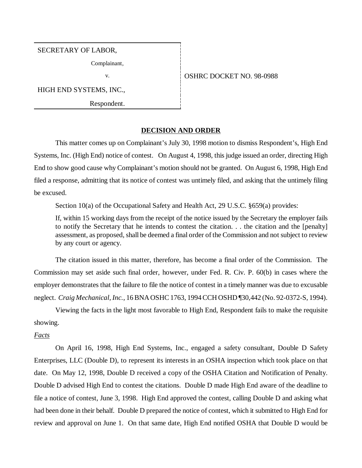SECRETARY OF LABOR,

Complainant,

HIGH END SYSTEMS, INC.,

Respondent.

### v. **CONSERVERT NO. 98-0988**

### **DECISION AND ORDER**

This matter comes up on Complainant's July 30, 1998 motion to dismiss Respondent's, High End Systems, Inc. (High End) notice of contest. On August 4, 1998, this judge issued an order, directing High End to show good cause why Complainant's motion should not be granted. On August 6, 1998, High End filed a response, admitting that its notice of contest was untimely filed, and asking that the untimely filing be excused.

Section 10(a) of the Occupational Safety and Health Act, 29 U.S.C. §659(a) provides:

If, within 15 working days from the receipt of the notice issued by the Secretary the employer fails to notify the Secretary that he intends to contest the citation. . . the citation and the [penalty] assessment, as proposed, shall be deemed a final order of the Commission and not subject to review by any court or agency.

The citation issued in this matter, therefore, has become a final order of the Commission. The Commission may set aside such final order, however, under Fed. R. Civ. P. 60(b) in cases where the employer demonstrates that the failure to file the notice of contest in a timely manner was due to excusable neglect. *Craig Mechanical, Inc.*, 16 BNA OSHC 1763, 1994 CCH OSHD ¶30,442 (No. 92-0372-S, 1994).

Viewing the facts in the light most favorable to High End, Respondent fails to make the requisite showing.

## *Facts*

On April 16, 1998, High End Systems, Inc., engaged a safety consultant, Double D Safety Enterprises, LLC (Double D), to represent its interests in an OSHA inspection which took place on that date. On May 12, 1998, Double D received a copy of the OSHA Citation and Notification of Penalty. Double D advised High End to contest the citations. Double D made High End aware of the deadline to file a notice of contest, June 3, 1998. High End approved the contest, calling Double D and asking what had been done in their behalf. Double D prepared the notice of contest, which it submitted to High End for review and approval on June 1. On that same date, High End notified OSHA that Double D would be